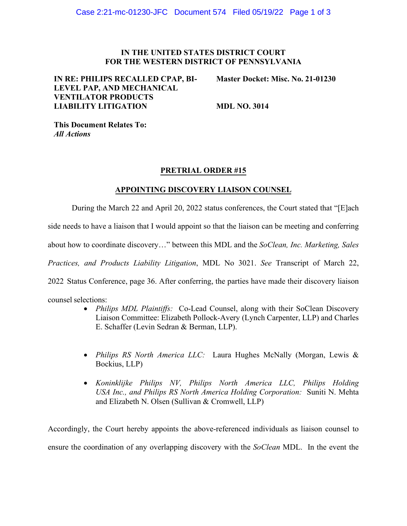### **IN THE UNITED STATES DISTRICT COURT FOR THE WESTERN DISTRICT OF PENNSYLVANIA**

## **IN RE: PHILIPS RECALLED CPAP, BI-LEVEL PAP, AND MECHANICAL VENTILATOR PRODUCTS LIABILITY LITIGATION**

**Master Docket: Misc. No. 21-01230**

**MDL NO. 3014** 

**This Document Relates To:** *All Actions*

## **PRETRIAL ORDER #15**

## **APPOINTING DISCOVERY LIAISON COUNSEL**

During the March 22 and April 20, 2022 status conferences, the Court stated that "[E]ach

side needs to have a liaison that I would appoint so that the liaison can be meeting and conferring

about how to coordinate discovery…" between this MDL and the *SoClean, Inc. Marketing, Sales* 

*Practices, and Products Liability Litigation*, MDL No 3021. *See* Transcript of March 22,

2022 Status Conference, page 36. After conferring, the parties have made their discovery liaison

counsel selections:

- *Philips MDL Plaintiffs:* Co-Lead Counsel, along with their SoClean Discovery Liaison Committee: Elizabeth Pollock-Avery (Lynch Carpenter, LLP) and Charles E. Schaffer (Levin Sedran & Berman, LLP).
- *Philips RS North America LLC:* Laura Hughes McNally (Morgan, Lewis & Bockius, LLP)
- *Koninklijke Philips NV, Philips North America LLC, Philips Holding USA Inc., and Philips RS North America Holding Corporation:* Suniti N. Mehta and Elizabeth N. Olsen (Sullivan & Cromwell, LLP)

Accordingly, the Court hereby appoints the above-referenced individuals as liaison counsel to ensure the coordination of any overlapping discovery with the *SoClean* MDL. In the event the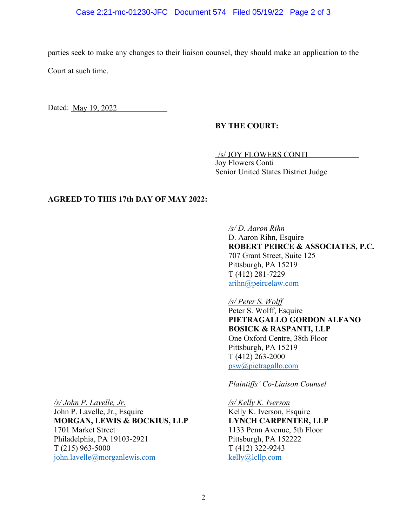#### Case 2:21-mc-01230-JFC Document 574 Filed 05/19/22 Page 2 of 3

parties seek to make any changes to their liaison counsel, they should make an application to the Court at such time.

Dated: May 19, 2022

#### **BY THE COURT:**

/s/ JOY FLOWERS CONTI Joy Flowers Conti Senior United States District Judge

### **AGREED TO THIS 17th DAY OF MAY 2022:**

*/s/ D. Aaron Rihn* D. Aaron Rihn, Esquire **ROBERT PEIRCE & ASSOCIATES, P.C.** 707 Grant Street, Suite 125 Pittsburgh, PA 15219 T (412) 281-7229 [arihn@peircelaw.com](mailto:arihn@peircelaw.com)

*/s/ Peter S. Wolff* Peter S. Wolff, Esquire **PIETRAGALLO GORDON ALFANO BOSICK & RASPANTI, LLP**  One Oxford Centre, 38th Floor Pittsburgh, PA 15219 T (412) 263-2000 [psw@pietragallo.com](mailto:psw@pietragallo.com)

*Plaintiffs' Co-Liaison Counsel* 

*/s/ Kelly K. Iverson* Kelly K. Iverson, Esquire **LYNCH CARPENTER, LLP** 1133 Penn Avenue, 5th Floor Pittsburgh, PA 152222 T (412) 322-9243 [kelly@lcllp.com](mailto:kelly@lcllp.com) 

*/s/ John P. Lavelle, Jr.*

John P. Lavelle, Jr., Esquire **MORGAN, LEWIS & BOCKIUS, LLP** 1701 Market Street Philadelphia, PA 19103-2921 T (215) 963-5000 [john.lavelle@morganlewis.com](mailto:john.lavelle@morganlewis.com)